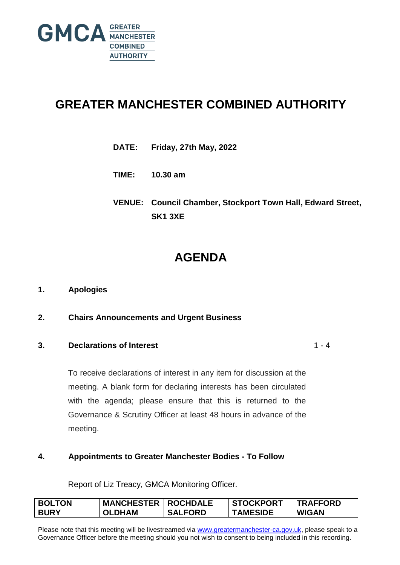

# **GREATER MANCHESTER COMBINED AUTHORITY**

- **DATE: Friday, 27th May, 2022**
- **TIME: 10.30 am**
- **VENUE: Council Chamber, Stockport Town Hall, Edward Street, SK1 3XE**

# **AGENDA**

### **1. Apologies**

**2. Chairs Announcements and Urgent Business**

### **3. Declarations of Interest**

 $1 - 4$ 

To receive declarations of interest in any item for discussion at the meeting. A blank form for declaring interests has been circulated with the agenda; please ensure that this is returned to the Governance & Scrutiny Officer at least 48 hours in advance of the meeting.

### **4. Appointments to Greater Manchester Bodies - To Follow**

Report of Liz Treacy, GMCA Monitoring Officer.

| <b>BOLTON</b> | <b>MANCHESTER   ROCHDALE</b> |                | <b>STOCKPORT</b> | <b>TRAFFORD</b> |
|---------------|------------------------------|----------------|------------------|-----------------|
| <b>BURY</b>   | <b>OLDHAM</b>                | <b>SALFORD</b> | <b>TAMESIDE</b>  | <b>WIGAN</b>    |

Please note that this meeting will be livestreamed via [www.greatermanchester-ca.gov.uk,](http://www.greatermanchester-ca.gov.uk/) please speak to a Governance Officer before the meeting should you not wish to consent to being included in this recording.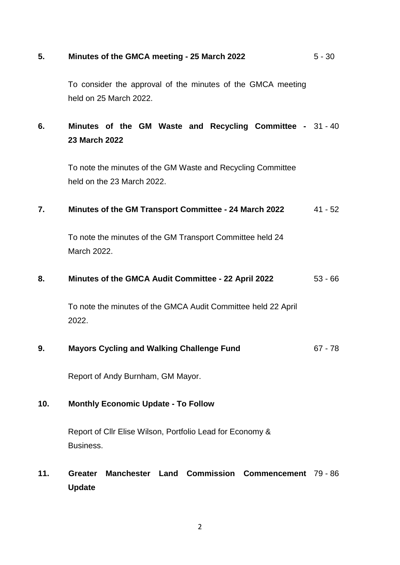#### **5. Minutes of the GMCA meeting - 25 March 2022** 5 - 30

To consider the approval of the minutes of the GMCA meeting held on 25 March 2022.

# **6. Minutes of the GM Waste and Recycling Committee -**  31 - 40 **23 March 2022**

To note the minutes of the GM Waste and Recycling Committee held on the 23 March 2022.

#### **7. Minutes of the GM Transport Committee - 24 March 2022** 41 - 52

To note the minutes of the GM Transport Committee held 24 March 2022.

#### **8. Minutes of the GMCA Audit Committee - 22 April 2022** 53 - 66

To note the minutes of the GMCA Audit Committee held 22 April 2022.

#### **9. Mayors Cycling and Walking Challenge Fund** 67 - 78

Report of Andy Burnham, GM Mayor.

### **10. Monthly Economic Update - To Follow**

Report of Cllr Elise Wilson, Portfolio Lead for Economy & **Business** 

## **11. Greater Manchester Land Commission Commencement** 79 - 86**Update**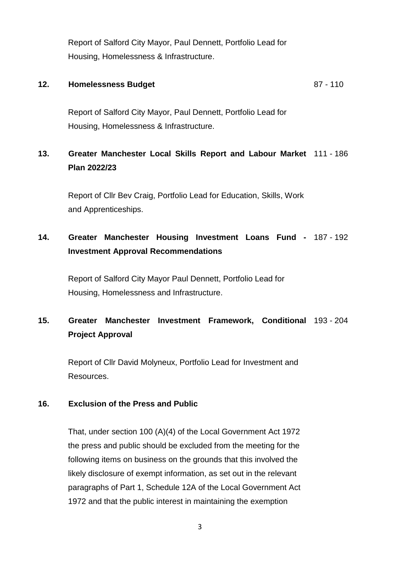Report of Salford City Mayor, Paul Dennett, Portfolio Lead for Housing, Homelessness & Infrastructure.

#### **12. Homelessness Budget** 87 - 110

Report of Salford City Mayor, Paul Dennett, Portfolio Lead for Housing, Homelessness & Infrastructure.

# **13. Greater Manchester Local Skills Report and Labour Market** 111 - 186 **Plan 2022/23**

Report of Cllr Bev Craig, Portfolio Lead for Education, Skills, Work and Apprenticeships.

# **14. Greater Manchester Housing Investment Loans Fund -** 187 - 192 **Investment Approval Recommendations**

Report of Salford City Mayor Paul Dennett, Portfolio Lead for Housing, Homelessness and Infrastructure.

# **15. Greater Manchester Investment Framework, Conditional** 193 - 204 **Project Approval**

Report of Cllr David Molyneux, Portfolio Lead for Investment and Resources.

### **16. Exclusion of the Press and Public**

That, under section 100 (A)(4) of the Local Government Act 1972 the press and public should be excluded from the meeting for the following items on business on the grounds that this involved the likely disclosure of exempt information, as set out in the relevant paragraphs of Part 1, Schedule 12A of the Local Government Act 1972 and that the public interest in maintaining the exemption